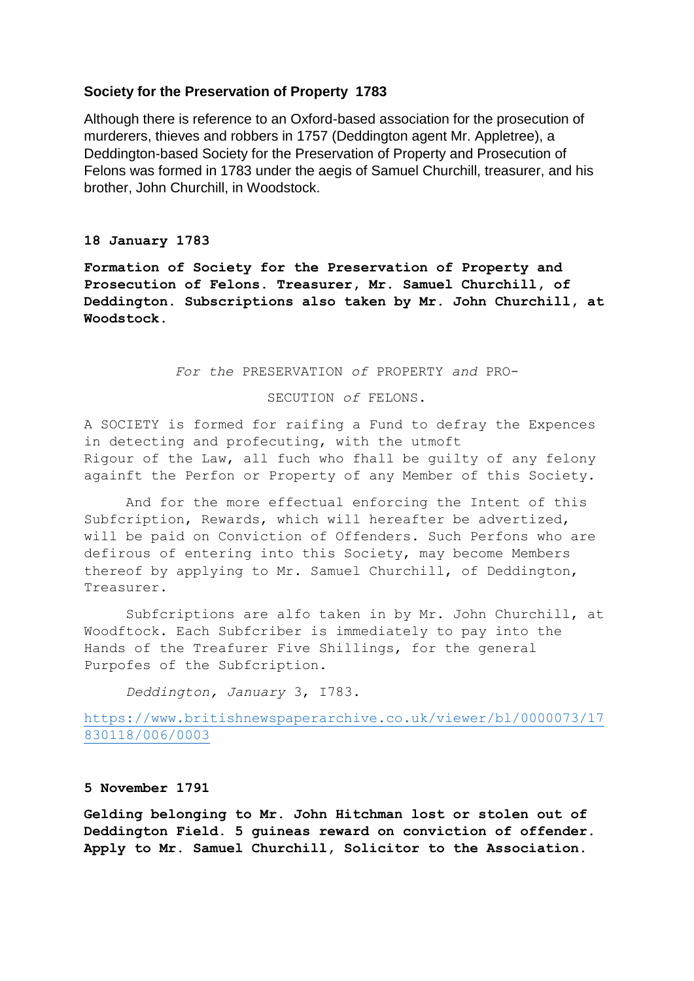# **Society for the Preservation of Property 1783**

Although there is reference to an Oxford-based association for the prosecution of murderers, thieves and robbers in 1757 (Deddington agent Mr. Appletree), a Deddington-based Society for the Preservation of Property and Prosecution of Felons was formed in 1783 under the aegis of Samuel Churchill, treasurer, and his brother, John Churchill, in Woodstock.

#### **18 January 1783**

**Formation of Society for the Preservation of Property and Prosecution of Felons. Treasurer, Mr. Samuel Churchill, of Deddington. Subscriptions also taken by Mr. John Churchill, at Woodstock.**

*For the* PRESERVATION *of* PROPERTY *and* PRO-

### SECUTION *of* FELONS.

A SOCIETY is formed for raifing a Fund to defray the Expences in detecting and profecuting, with the utmoft Rigour of the Law, all fuch who fhall be guilty of any felony againft the Perfon or Property of any Member of this Society.

And for the more effectual enforcing the Intent of this Subfcription, Rewards, which will hereafter be advertized, will be paid on Conviction of Offenders. Such Perfons who are defirous of entering into this Society, may become Members thereof by applying to Mr. Samuel Churchill, of Deddington, Treasurer.

Subfcriptions are alfo taken in by Mr. John Churchill, at Woodftock. Each Subfcriber is immediately to pay into the Hands of the Treafurer Five Shillings, for the general Purpofes of the Subfcription.

*Deddington, January* 3, I783.

[https://www.britishnewspaperarchive.co.uk/viewer/bl/0000073/17](https://www.britishnewspaperarchive.co.uk/viewer/bl/0000073/17830118/006/0003) [830118/006/0003](https://www.britishnewspaperarchive.co.uk/viewer/bl/0000073/17830118/006/0003)

## **5 November 1791**

**Gelding belonging to Mr. John Hitchman lost or stolen out of Deddington Field. 5 guineas reward on conviction of offender. Apply to Mr. Samuel Churchill, Solicitor to the Association.**